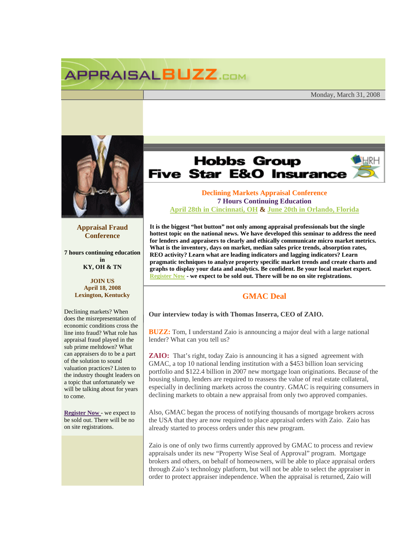## **APPRAISALBUZZ.COM**

Monday, March 31, 2008



**Appraisal Fraud Conference** 

**7 hours continuing education in KY, OH & TN** 

> **JOIN US April 18, 2008 Lexington, Kentucky**

Declining markets? When does the misrepresentation of economic conditions cross the line into fraud? What role has appraisal fraud played in the sub prime meltdown? What can appraisers do to be a part of the solution to sound valuation practices? Listen to the industry thought leaders on a topic that unfortunately we will be talking about for years to come.

**Register Now** - we expect to be sold out. There will be no on site registrations.

## **Hobbs Group Five Star E&O Insurance**

## **Declining Markets Appraisal Conference 7 Hours Continuing Education April 28th in Cincinnati, OH & June 20th in Orlando, Florida**

**It is the biggest "hot button" not only among appraisal professionals but the single hottest topic on the national news. We have developed this seminar to address the need for lenders and appraisers to clearly and ethically communicate micro market metrics. What is the inventory, days on market, median sales price trends, absorption rates, REO activity? Learn what are leading indicators and lagging indicators? Learn pragmatic techniques to analyze property specific market trends and create charts and graphs to display your data and analytics. Be confident. Be your local market expert. Register Now - we expect to be sold out. There will be no on site registrations.** 

## **GMAC Deal**

**Our interview today is with Thomas Inserra, CEO of ZAIO.**

**BUZZ:** Tom, I understand Zaio is announcing a major deal with a large national lender? What can you tell us?

**ZAIO:** That's right, today Zaio is announcing it has a signed agreement with GMAC, a top 10 national lending institution with a \$453 billion loan servicing portfolio and \$122.4 billion in 2007 new mortgage loan originations. Because of the housing slump, lenders are required to reassess the value of real estate collateral, especially in declining markets across the country. GMAC is requiring consumers in declining markets to obtain a new appraisal from only two approved companies.

Also, GMAC began the process of notifying thousands of mortgage brokers across the USA that they are now required to place appraisal orders with Zaio. Zaio has already started to process orders under this new program.

Zaio is one of only two firms currently approved by GMAC to process and review appraisals under its new "Property Wise Seal of Approval" program. Mortgage brokers and others, on behalf of homeowners, will be able to place appraisal orders through Zaio's technology platform, but will not be able to select the appraiser in order to protect appraiser independence. When the appraisal is returned, Zaio will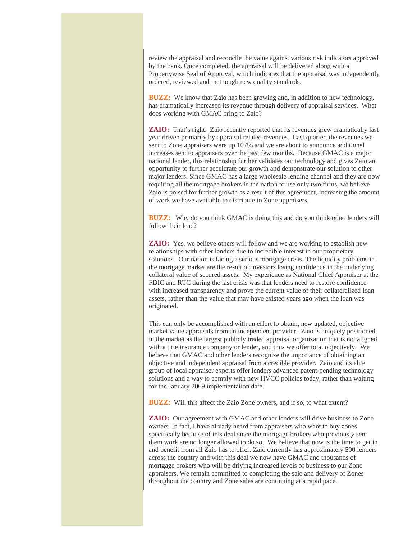review the appraisal and reconcile the value against various risk indicators approved by the bank. Once completed, the appraisal will be delivered along with a Propertywise Seal of Approval, which indicates that the appraisal was independently ordered, reviewed and met tough new quality standards.

**BUZZ:** We know that Zaio has been growing and, in addition to new technology, has dramatically increased its revenue through delivery of appraisal services. What does working with GMAC bring to Zaio?

**ZAIO:** That's right. Zaio recently reported that its revenues grew dramatically last year driven primarily by appraisal related revenues. Last quarter, the revenues we sent to Zone appraisers were up 107% and we are about to announce additional increases sent to appraisers over the past few months. Because GMAC is a major national lender, this relationship further validates our technology and gives Zaio an opportunity to further accelerate our growth and demonstrate our solution to other major lenders. Since GMAC has a large wholesale lending channel and they are now requiring all the mortgage brokers in the nation to use only two firms, we believe Zaio is poised for further growth as a result of this agreement, increasing the amount of work we have available to distribute to Zone appraisers.

**BUZZ:** Why do you think GMAC is doing this and do you think other lenders will follow their lead?

**ZAIO:** Yes, we believe others will follow and we are working to establish new relationships with other lenders due to incredible interest in our proprietary solutions. Our nation is facing a serious mortgage crisis. The liquidity problems in the mortgage market are the result of investors losing confidence in the underlying collateral value of secured assets. My experience as National Chief Appraiser at the FDIC and RTC during the last crisis was that lenders need to restore confidence with increased transparency and prove the current value of their collateralized loan assets, rather than the value that may have existed years ago when the loan was originated.

This can only be accomplished with an effort to obtain, new updated, objective market value appraisals from an independent provider. Zaio is uniquely positioned in the market as the largest publicly traded appraisal organization that is not aligned with a title insurance company or lender, and thus we offer total objectively. We believe that GMAC and other lenders recognize the importance of obtaining an objective and independent appraisal from a credible provider. Zaio and its elite group of local appraiser experts offer lenders advanced patent-pending technology solutions and a way to comply with new HVCC policies today, rather than waiting for the January 2009 implementation date.

**BUZZ:** Will this affect the Zaio Zone owners, and if so, to what extent?

**ZAIO:** Our agreement with GMAC and other lenders will drive business to Zone owners. In fact, I have already heard from appraisers who want to buy zones specifically because of this deal since the mortgage brokers who previously sent them work are no longer allowed to do so. We believe that now is the time to get in and benefit from all Zaio has to offer. Zaio currently has approximately 500 lenders across the country and with this deal we now have GMAC and thousands of mortgage brokers who will be driving increased levels of business to our Zone appraisers. We remain committed to completing the sale and delivery of Zones throughout the country and Zone sales are continuing at a rapid pace.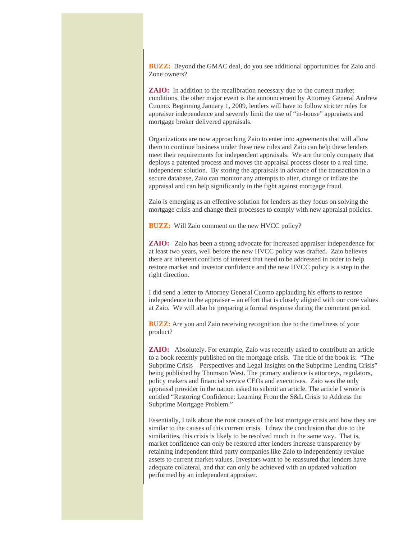**BUZZ:** Beyond the GMAC deal, do you see additional opportunities for Zaio and Zone owners?

**ZAIO:** In addition to the recalibration necessary due to the current market conditions, the other major event is the announcement by Attorney General Andrew Cuomo. Beginning January 1, 2009, lenders will have to follow stricter rules for appraiser independence and severely limit the use of "in-house" appraisers and mortgage broker delivered appraisals.

Organizations are now approaching Zaio to enter into agreements that will allow them to continue business under these new rules and Zaio can help these lenders meet their requirements for independent appraisals. We are the only company that deploys a patented process and moves the appraisal process closer to a real time, independent solution. By storing the appraisals in advance of the transaction in a secure database, Zaio can monitor any attempts to alter, change or inflate the appraisal and can help significantly in the fight against mortgage fraud.

Zaio is emerging as an effective solution for lenders as they focus on solving the mortgage crisis and change their processes to comply with new appraisal policies.

**BUZZ:** Will Zaio comment on the new HVCC policy?

**ZAIO:** Zaio has been a strong advocate for increased appraiser independence for at least two years, well before the new HVCC policy was drafted. Zaio believes there are inherent conflicts of interest that need to be addressed in order to help restore market and investor confidence and the new HVCC policy is a step in the right direction.

I did send a letter to Attorney General Cuomo applauding his efforts to restore independence to the appraiser – an effort that is closely aligned with our core values at Zaio. We will also be preparing a formal response during the comment period.

**BUZZ:** Are you and Zaio receiving recognition due to the timeliness of your product?

**ZAIO:** Absolutely. For example, Zaio was recently asked to contribute an article to a book recently published on the mortgage crisis. The title of the book is: "The Subprime Crisis – Perspectives and Legal Insights on the Subprime Lending Crisis" being published by Thomson West. The primary audience is attorneys, regulators, policy makers and financial service CEOs and executives. Zaio was the only appraisal provider in the nation asked to submit an article. The article I wrote is entitled "Restoring Confidence: Learning From the S&L Crisis to Address the Subprime Mortgage Problem."

Essentially, I talk about the root causes of the last mortgage crisis and how they are similar to the causes of this current crisis. I draw the conclusion that due to the similarities, this crisis is likely to be resolved much in the same way. That is, market confidence can only be restored after lenders increase transparency by retaining independent third party companies like Zaio to independently revalue assets to current market values. Investors want to be reassured that lenders have adequate collateral, and that can only be achieved with an updated valuation performed by an independent appraiser.